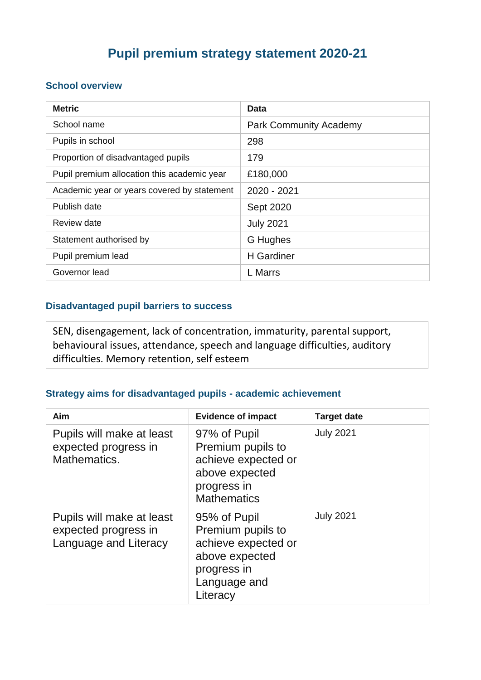# **Pupil premium strategy statement 2020-21**

#### **School overview**

| <b>Metric</b>                               | Data                          |
|---------------------------------------------|-------------------------------|
| School name                                 | <b>Park Community Academy</b> |
| Pupils in school                            | 298                           |
| Proportion of disadvantaged pupils          | 179                           |
| Pupil premium allocation this academic year | £180,000                      |
| Academic year or years covered by statement | 2020 - 2021                   |
| Publish date                                | Sept 2020                     |
| Review date                                 | <b>July 2021</b>              |
| Statement authorised by                     | G Hughes                      |
| Pupil premium lead                          | <b>H</b> Gardiner             |
| Governor lead                               | L Marrs                       |

### **Disadvantaged pupil barriers to success**

SEN, disengagement, lack of concentration, immaturity, parental support, behavioural issues, attendance, speech and language difficulties, auditory difficulties. Memory retention, self esteem

#### **Strategy aims for disadvantaged pupils - academic achievement**

| Aim                                                                        | <b>Evidence of impact</b>                                                                                             | <b>Target date</b> |
|----------------------------------------------------------------------------|-----------------------------------------------------------------------------------------------------------------------|--------------------|
| Pupils will make at least<br>expected progress in<br>Mathematics.          | 97% of Pupil<br>Premium pupils to<br>achieve expected or<br>above expected<br>progress in<br><b>Mathematics</b>       | <b>July 2021</b>   |
| Pupils will make at least<br>expected progress in<br>Language and Literacy | 95% of Pupil<br>Premium pupils to<br>achieve expected or<br>above expected<br>progress in<br>Language and<br>Literacy | <b>July 2021</b>   |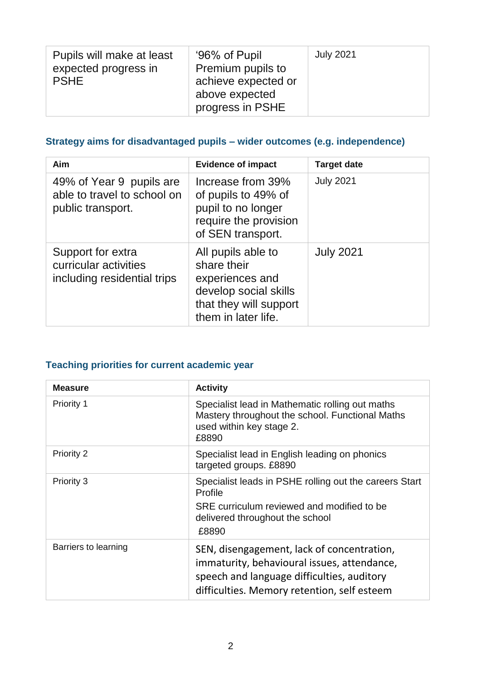| Pupils will make at least<br>expected progress in<br><b>PSHE</b> | '96% of Pupil<br>Premium pupils to<br>achieve expected or<br>above expected<br>progress in PSHE | <b>July 2021</b> |
|------------------------------------------------------------------|-------------------------------------------------------------------------------------------------|------------------|
|------------------------------------------------------------------|-------------------------------------------------------------------------------------------------|------------------|

### **Strategy aims for disadvantaged pupils – wider outcomes (e.g. independence)**

| Aim                                                                          | <b>Evidence of impact</b>                                                                                                      | <b>Target date</b> |
|------------------------------------------------------------------------------|--------------------------------------------------------------------------------------------------------------------------------|--------------------|
| 49% of Year 9 pupils are<br>able to travel to school on<br>public transport. | Increase from 39%<br>of pupils to 49% of<br>pupil to no longer<br>require the provision<br>of SEN transport.                   | <b>July 2021</b>   |
| Support for extra<br>curricular activities<br>including residential trips    | All pupils able to<br>share their<br>experiences and<br>develop social skills<br>that they will support<br>them in later life. | <b>July 2021</b>   |

### **Teaching priorities for current academic year**

| <b>Measure</b>       | <b>Activity</b>                                                                                                                                                                        |
|----------------------|----------------------------------------------------------------------------------------------------------------------------------------------------------------------------------------|
| Priority 1           | Specialist lead in Mathematic rolling out maths<br>Mastery throughout the school. Functional Maths<br>used within key stage 2.<br>£8890                                                |
| Priority 2           | Specialist lead in English leading on phonics<br>targeted groups. £8890                                                                                                                |
| Priority 3           | Specialist leads in PSHE rolling out the careers Start<br>Profile<br>SRE curriculum reviewed and modified to be<br>delivered throughout the school<br>£8890                            |
| Barriers to learning | SEN, disengagement, lack of concentration,<br>immaturity, behavioural issues, attendance,<br>speech and language difficulties, auditory<br>difficulties. Memory retention, self esteem |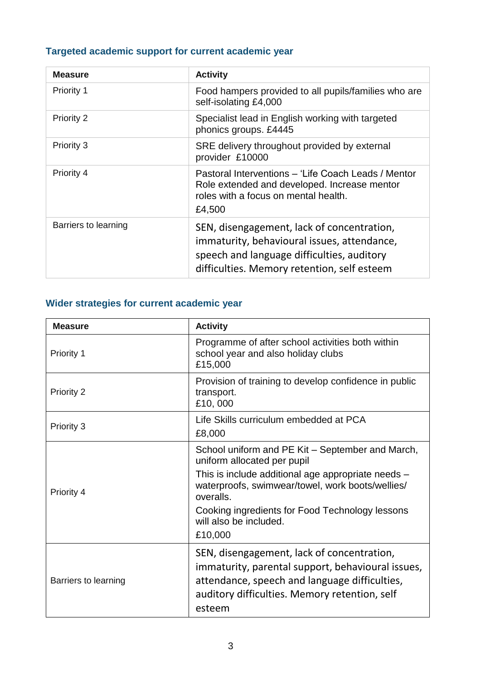# **Targeted academic support for current academic year**

| <b>Measure</b>       | <b>Activity</b>                                                                                                                                                                        |
|----------------------|----------------------------------------------------------------------------------------------------------------------------------------------------------------------------------------|
| Priority 1           | Food hampers provided to all pupils/families who are<br>self-isolating £4,000                                                                                                          |
| Priority 2           | Specialist lead in English working with targeted<br>phonics groups. £4445                                                                                                              |
| Priority 3           | SRE delivery throughout provided by external<br>provider £10000                                                                                                                        |
| Priority 4           | Pastoral Interventions - 'Life Coach Leads / Mentor<br>Role extended and developed. Increase mentor<br>roles with a focus on mental health.<br>£4,500                                  |
| Barriers to learning | SEN, disengagement, lack of concentration,<br>immaturity, behavioural issues, attendance,<br>speech and language difficulties, auditory<br>difficulties. Memory retention, self esteem |

# **Wider strategies for current academic year**

| <b>Measure</b>       | <b>Activity</b>                                                                                                                                                                                                                                                                                |
|----------------------|------------------------------------------------------------------------------------------------------------------------------------------------------------------------------------------------------------------------------------------------------------------------------------------------|
| Priority 1           | Programme of after school activities both within<br>school year and also holiday clubs<br>£15,000                                                                                                                                                                                              |
| Priority 2           | Provision of training to develop confidence in public<br>transport.<br>£10,000                                                                                                                                                                                                                 |
| Priority 3           | Life Skills curriculum embedded at PCA<br>£8,000                                                                                                                                                                                                                                               |
| Priority 4           | School uniform and PE Kit - September and March,<br>uniform allocated per pupil<br>This is include additional age appropriate needs -<br>waterproofs, swimwear/towel, work boots/wellies/<br>overalls.<br>Cooking ingredients for Food Technology lessons<br>will also be included.<br>£10,000 |
| Barriers to learning | SEN, disengagement, lack of concentration,<br>immaturity, parental support, behavioural issues,<br>attendance, speech and language difficulties,<br>auditory difficulties. Memory retention, self<br>esteem                                                                                    |